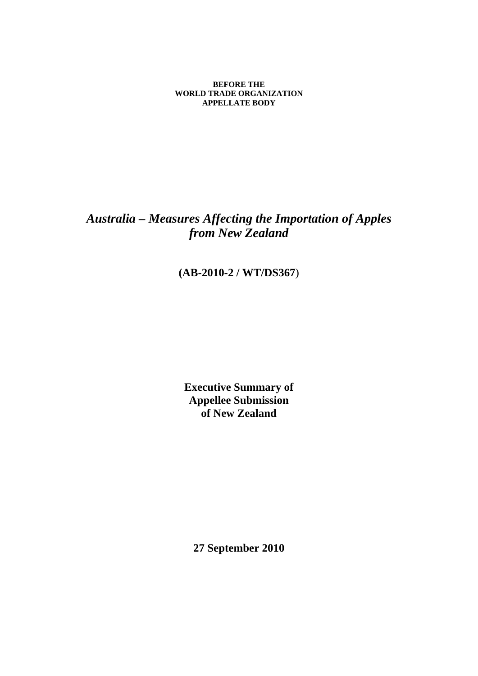**BEFORE THE WORLD TRADE ORGANIZATION APPELLATE BODY** 

# *Australia – Measures Affecting the Importation of Apples from New Zealand*

## **(AB-2010-2 / WT/DS367**)

**Executive Summary of Appellee Submission of New Zealand** 

**27 September 2010**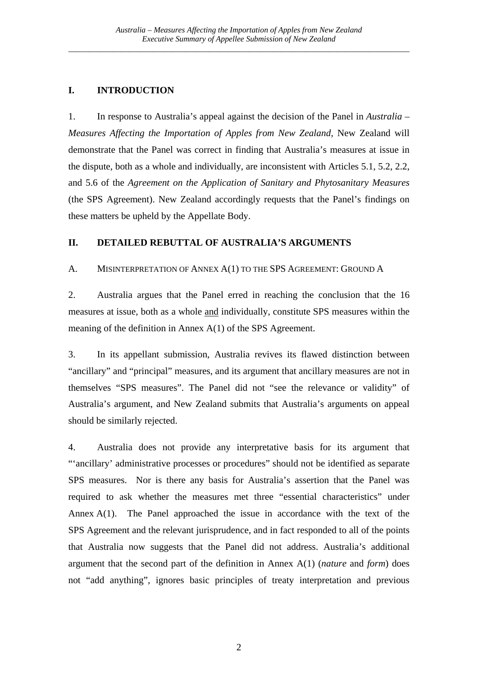## **I. INTRODUCTION**

1. In response to Australia's appeal against the decision of the Panel in *Australia – Measures Affecting the Importation of Apples from New Zealand,* New Zealand will demonstrate that the Panel was correct in finding that Australia's measures at issue in the dispute, both as a whole and individually, are inconsistent with Articles 5.1, 5.2, 2.2, and 5.6 of the *Agreement on the Application of Sanitary and Phytosanitary Measures*  (the SPS Agreement). New Zealand accordingly requests that the Panel's findings on these matters be upheld by the Appellate Body.

## **II. DETAILED REBUTTAL OF AUSTRALIA'S ARGUMENTS**

A. MISINTERPRETATION OF ANNEX A(1) TO THE SPS AGREEMENT: GROUND A

2. Australia argues that the Panel erred in reaching the conclusion that the 16 measures at issue, both as a whole and individually, constitute SPS measures within the meaning of the definition in Annex A(1) of the SPS Agreement.

3. In its appellant submission, Australia revives its flawed distinction between "ancillary" and "principal" measures, and its argument that ancillary measures are not in themselves "SPS measures". The Panel did not "see the relevance or validity" of Australia's argument, and New Zealand submits that Australia's arguments on appeal should be similarly rejected.

4. Australia does not provide any interpretative basis for its argument that "'ancillary' administrative processes or procedures" should not be identified as separate SPS measures. Nor is there any basis for Australia's assertion that the Panel was required to ask whether the measures met three "essential characteristics" under Annex A(1). The Panel approached the issue in accordance with the text of the SPS Agreement and the relevant jurisprudence, and in fact responded to all of the points that Australia now suggests that the Panel did not address. Australia's additional argument that the second part of the definition in Annex A(1) (*nature* and *form*) does not "add anything", ignores basic principles of treaty interpretation and previous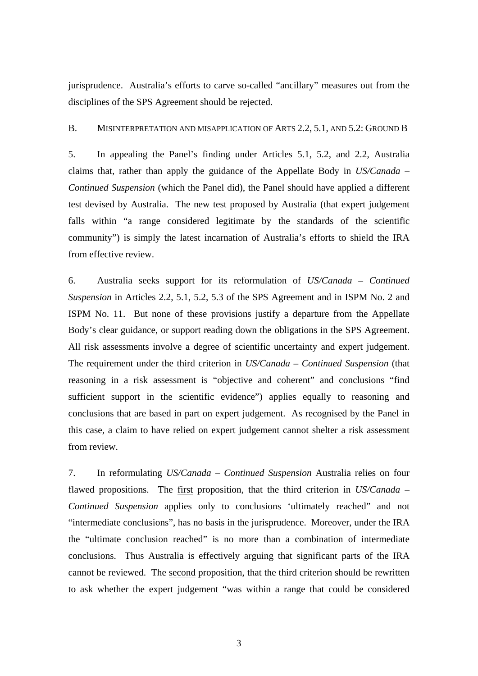jurisprudence. Australia's efforts to carve so-called "ancillary" measures out from the disciplines of the SPS Agreement should be rejected.

### B. MISINTERPRETATION AND MISAPPLICATION OF ARTS 2.2, 5.1, AND 5.2: GROUND B

5. In appealing the Panel's finding under Articles 5.1, 5.2, and 2.2, Australia claims that, rather than apply the guidance of the Appellate Body in *US/Canada – Continued Suspension* (which the Panel did), the Panel should have applied a different test devised by Australia. The new test proposed by Australia (that expert judgement falls within "a range considered legitimate by the standards of the scientific community") is simply the latest incarnation of Australia's efforts to shield the IRA from effective review.

6. Australia seeks support for its reformulation of *US/Canada – Continued Suspension* in Articles 2.2, 5.1, 5.2, 5.3 of the SPS Agreement and in ISPM No. 2 and ISPM No. 11. But none of these provisions justify a departure from the Appellate Body's clear guidance, or support reading down the obligations in the SPS Agreement. All risk assessments involve a degree of scientific uncertainty and expert judgement. The requirement under the third criterion in *US/Canada – Continued Suspension* (that reasoning in a risk assessment is "objective and coherent" and conclusions "find sufficient support in the scientific evidence") applies equally to reasoning and conclusions that are based in part on expert judgement. As recognised by the Panel in this case, a claim to have relied on expert judgement cannot shelter a risk assessment from review.

7. In reformulating *US/Canada – Continued Suspension* Australia relies on four flawed propositions. The first proposition, that the third criterion in *US/Canada – Continued Suspension* applies only to conclusions 'ultimately reached" and not "intermediate conclusions", has no basis in the jurisprudence. Moreover, under the IRA the "ultimate conclusion reached" is no more than a combination of intermediate conclusions. Thus Australia is effectively arguing that significant parts of the IRA cannot be reviewed. The second proposition, that the third criterion should be rewritten to ask whether the expert judgement "was within a range that could be considered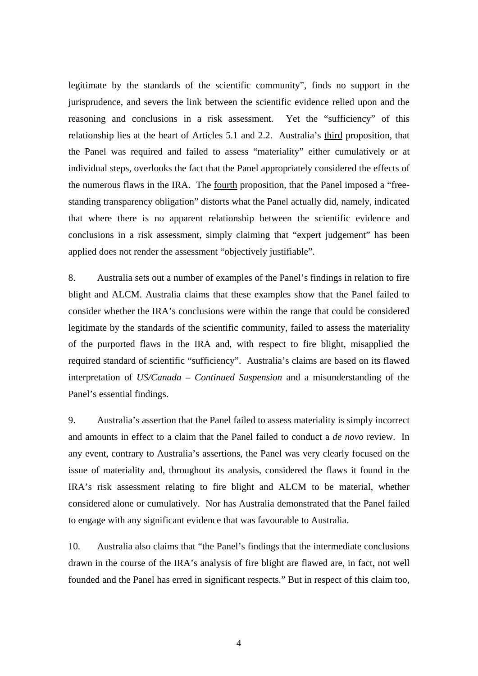legitimate by the standards of the scientific community", finds no support in the jurisprudence, and severs the link between the scientific evidence relied upon and the reasoning and conclusions in a risk assessment. Yet the "sufficiency" of this relationship lies at the heart of Articles 5.1 and 2.2. Australia's third proposition, that the Panel was required and failed to assess "materiality" either cumulatively or at individual steps, overlooks the fact that the Panel appropriately considered the effects of the numerous flaws in the IRA. The fourth proposition, that the Panel imposed a "freestanding transparency obligation" distorts what the Panel actually did, namely, indicated that where there is no apparent relationship between the scientific evidence and conclusions in a risk assessment, simply claiming that "expert judgement" has been applied does not render the assessment "objectively justifiable".

8. Australia sets out a number of examples of the Panel's findings in relation to fire blight and ALCM. Australia claims that these examples show that the Panel failed to consider whether the IRA's conclusions were within the range that could be considered legitimate by the standards of the scientific community, failed to assess the materiality of the purported flaws in the IRA and, with respect to fire blight, misapplied the required standard of scientific "sufficiency". Australia's claims are based on its flawed interpretation of *US/Canada – Continued Suspension* and a misunderstanding of the Panel's essential findings.

9. Australia's assertion that the Panel failed to assess materiality is simply incorrect and amounts in effect to a claim that the Panel failed to conduct a *de novo* review. In any event, contrary to Australia's assertions, the Panel was very clearly focused on the issue of materiality and, throughout its analysis, considered the flaws it found in the IRA's risk assessment relating to fire blight and ALCM to be material, whether considered alone or cumulatively. Nor has Australia demonstrated that the Panel failed to engage with any significant evidence that was favourable to Australia.

10. Australia also claims that "the Panel's findings that the intermediate conclusions drawn in the course of the IRA's analysis of fire blight are flawed are, in fact, not well founded and the Panel has erred in significant respects." But in respect of this claim too,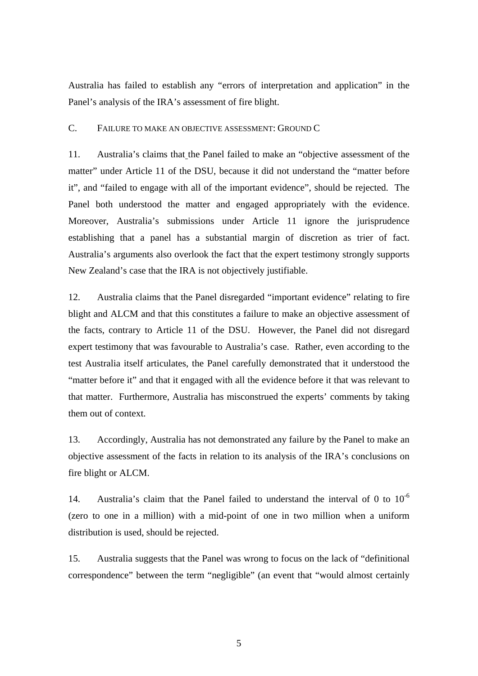Australia has failed to establish any "errors of interpretation and application" in the Panel's analysis of the IRA's assessment of fire blight.

#### C. FAILURE TO MAKE AN OBJECTIVE ASSESSMENT: GROUND C

11. Australia's claims that the Panel failed to make an "objective assessment of the matter" under Article 11 of the DSU, because it did not understand the "matter before it", and "failed to engage with all of the important evidence", should be rejected. The Panel both understood the matter and engaged appropriately with the evidence. Moreover, Australia's submissions under Article 11 ignore the jurisprudence establishing that a panel has a substantial margin of discretion as trier of fact. Australia's arguments also overlook the fact that the expert testimony strongly supports New Zealand's case that the IRA is not objectively justifiable.

12. Australia claims that the Panel disregarded "important evidence" relating to fire blight and ALCM and that this constitutes a failure to make an objective assessment of the facts, contrary to Article 11 of the DSU. However, the Panel did not disregard expert testimony that was favourable to Australia's case. Rather, even according to the test Australia itself articulates, the Panel carefully demonstrated that it understood the "matter before it" and that it engaged with all the evidence before it that was relevant to that matter. Furthermore, Australia has misconstrued the experts' comments by taking them out of context.

13. Accordingly, Australia has not demonstrated any failure by the Panel to make an objective assessment of the facts in relation to its analysis of the IRA's conclusions on fire blight or ALCM.

14. Australia's claim that the Panel failed to understand the interval of 0 to  $10^{-6}$ (zero to one in a million) with a mid-point of one in two million when a uniform distribution is used, should be rejected.

15. Australia suggests that the Panel was wrong to focus on the lack of "definitional correspondence" between the term "negligible" (an event that "would almost certainly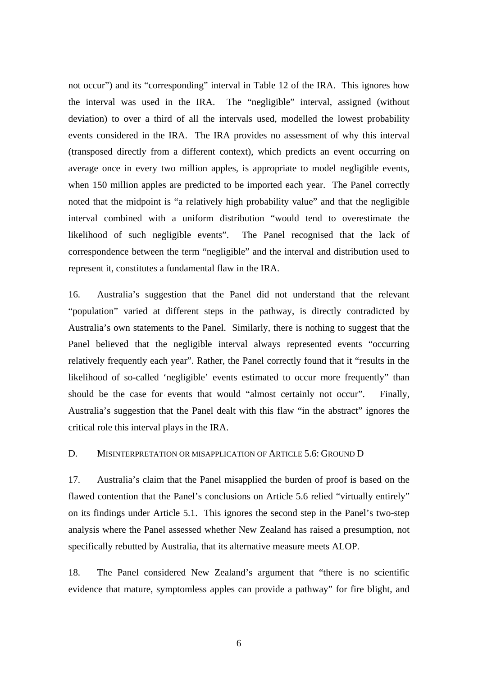not occur") and its "corresponding" interval in Table 12 of the IRA. This ignores how the interval was used in the IRA. The "negligible" interval, assigned (without deviation) to over a third of all the intervals used, modelled the lowest probability events considered in the IRA. The IRA provides no assessment of why this interval (transposed directly from a different context), which predicts an event occurring on average once in every two million apples, is appropriate to model negligible events, when 150 million apples are predicted to be imported each year. The Panel correctly noted that the midpoint is "a relatively high probability value" and that the negligible interval combined with a uniform distribution "would tend to overestimate the likelihood of such negligible events". The Panel recognised that the lack of correspondence between the term "negligible" and the interval and distribution used to represent it, constitutes a fundamental flaw in the IRA.

16. Australia's suggestion that the Panel did not understand that the relevant "population" varied at different steps in the pathway, is directly contradicted by Australia's own statements to the Panel. Similarly, there is nothing to suggest that the Panel believed that the negligible interval always represented events "occurring relatively frequently each year". Rather, the Panel correctly found that it "results in the likelihood of so-called 'negligible' events estimated to occur more frequently" than should be the case for events that would "almost certainly not occur". Finally, Australia's suggestion that the Panel dealt with this flaw "in the abstract" ignores the critical role this interval plays in the IRA.

D. MISINTERPRETATION OR MISAPPLICATION OF ARTICLE 5.6: GROUND D.

17. Australia's claim that the Panel misapplied the burden of proof is based on the flawed contention that the Panel's conclusions on Article 5.6 relied "virtually entirely" on its findings under Article 5.1. This ignores the second step in the Panel's two-step analysis where the Panel assessed whether New Zealand has raised a presumption, not specifically rebutted by Australia, that its alternative measure meets ALOP.

18. The Panel considered New Zealand's argument that "there is no scientific evidence that mature, symptomless apples can provide a pathway" for fire blight, and